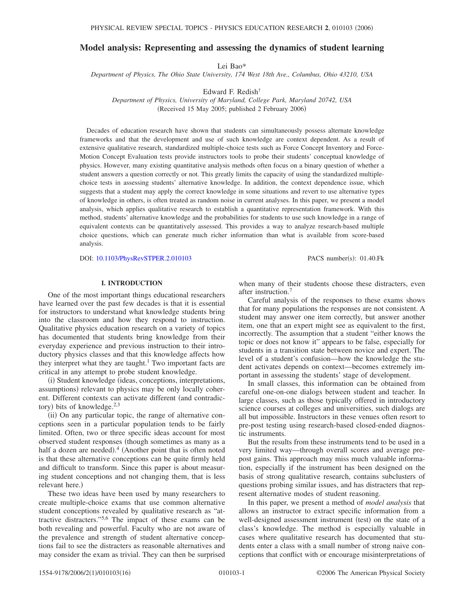# **Model analysis: Representing and assessing the dynamics of student learning**

Lei Bao\*

*Department of Physics, The Ohio State University, 174 West 18th Ave., Columbus, Ohio 43210, USA*

Edward F. Redish†

*Department of Physics, University of Maryland, College Park, Maryland 20742, USA* (Received 15 May 2005; published 2 February 2006)

Decades of education research have shown that students can simultaneously possess alternate knowledge frameworks and that the development and use of such knowledge are context dependent. As a result of extensive qualitative research, standardized multiple-choice tests such as Force Concept Inventory and Force-Motion Concept Evaluation tests provide instructors tools to probe their students' conceptual knowledge of physics. However, many existing quantitative analysis methods often focus on a binary question of whether a student answers a question correctly or not. This greatly limits the capacity of using the standardized multiplechoice tests in assessing students' alternative knowledge. In addition, the context dependence issue, which suggests that a student may apply the correct knowledge in some situations and revert to use alternative types of knowledge in others, is often treated as random noise in current analyses. In this paper, we present a model analysis, which applies qualitative research to establish a quantitative representation framework. With this method, students' alternative knowledge and the probabilities for students to use such knowledge in a range of equivalent contexts can be quantitatively assessed. This provides a way to analyze research-based multiple choice questions, which can generate much richer information than what is available from score-based analysis.

DOI: [10.1103/PhysRevSTPER.2.010103](http://dx.doi.org/10.1103/PhysRevSTPER.2.010103)

PACS number(s): 01.40.Fk

## **I. INTRODUCTION**

One of the most important things educational researchers have learned over the past few decades is that it is essential for instructors to understand what knowledge students bring into the classroom and how they respond to instruction. Qualitative physics education research on a variety of topics has documented that students bring knowledge from their everyday experience and previous instruction to their introductory physics classes and that this knowledge affects how they interpret what they are taught.<sup>1</sup> Two important facts are critical in any attempt to probe student knowledge.

(i) Student knowledge (ideas, conceptions, interpretations, assumptions) relevant to physics may be only locally coherent. Different contexts can activate different (and contradictory) bits of knowledge. $2,3$ 

(ii) On any particular topic, the range of alternative conceptions seen in a particular population tends to be fairly limited. Often, two or three specific ideas account for most observed student responses (though sometimes as many as a half a dozen are needed). $<sup>4</sup>$  (Another point that is often noted</sup> is that these alternative conceptions can be quite firmly held and difficult to transform. Since this paper is about measuring student conceptions and not changing them, that is less relevant here.)

These two ideas have been used by many researchers to create multiple-choice exams that use common alternative student conceptions revealed by qualitative research as "attractive distracters."5,6 The impact of these exams can be both revealing and powerful. Faculty who are not aware of the prevalence and strength of student alternative conceptions fail to see the distracters as reasonable alternatives and may consider the exam as trivial. They can then be surprised

when many of their students choose these distracters, even after instruction.7

Careful analysis of the responses to these exams shows that for many populations the responses are not consistent. A student may answer one item correctly, but answer another item, one that an expert might see as equivalent to the first, incorrectly. The assumption that a student "either knows the topic or does not know it" appears to be false, especially for students in a transition state between novice and expert. The level of a student's confusion—how the knowledge the student activates depends on context—becomes extremely important in assessing the students' stage of development.

In small classes, this information can be obtained from careful one-on-one dialogs between student and teacher. In large classes, such as those typically offered in introductory science courses at colleges and universities, such dialogs are all but impossible. Instructors in these venues often resort to pre-post testing using research-based closed-ended diagnostic instruments.

But the results from these instruments tend to be used in a very limited way—through overall scores and average prepost gains. This approach may miss much valuable information, especially if the instrument has been designed on the basis of strong qualitative research, contains subclusters of questions probing similar issues, and has distracters that represent alternative modes of student reasoning.

In this paper, we present a method of *model analysis* that allows an instructor to extract specific information from a well-designed assessment instrument (test) on the state of a class's knowledge. The method is especially valuable in cases where qualitative research has documented that students enter a class with a small number of strong naive conceptions that conflict with or encourage misinterpretations of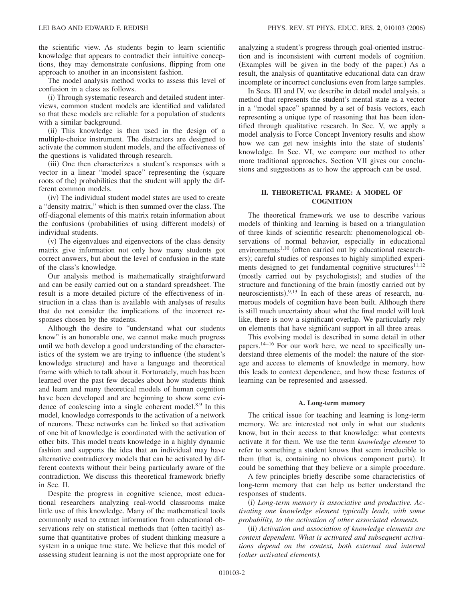the scientific view. As students begin to learn scientific knowledge that appears to contradict their intuitive conceptions, they may demonstrate confusions, flipping from one approach to another in an inconsistent fashion.

The model analysis method works to assess this level of confusion in a class as follows.

(i) Through systematic research and detailed student interviews, common student models are identified and validated so that these models are reliable for a population of students with a similar background.

(ii) This knowledge is then used in the design of a multiple-choice instrument. The distracters are designed to activate the common student models, and the effectiveness of the questions is validated through research.

(iii) One then characterizes a student's responses with a vector in a linear "model space" representing the (square roots of the) probabilities that the student will apply the different common models.

(iv) The individual student model states are used to create a "density matrix," which is then summed over the class. The off-diagonal elements of this matrix retain information about the confusions (probabilities of using different models) of individual students.

(v) The eigenvalues and eigenvectors of the class density matrix give information not only how many students got correct answers, but about the level of confusion in the state of the class's knowledge.

Our analysis method is mathematically straightforward and can be easily carried out on a standard spreadsheet. The result is a more detailed picture of the effectiveness of instruction in a class than is available with analyses of results that do not consider the implications of the incorrect responses chosen by the students.

Although the desire to "understand what our students know" is an honorable one, we cannot make much progress until we both develop a good understanding of the characteristics of the system we are trying to influence (the student's knowledge structure) and have a language and theoretical frame with which to talk about it. Fortunately, much has been learned over the past few decades about how students think and learn and many theoretical models of human cognition have been developed and are beginning to show some evidence of coalescing into a single coherent model. $8.9$  In this model, knowledge corresponds to the activation of a network of neurons. These networks can be linked so that activation of one bit of knowledge is coordinated with the activation of other bits. This model treats knowledge in a highly dynamic fashion and supports the idea that an individual may have alternative contradictory models that can be activated by different contexts without their being particularly aware of the contradiction. We discuss this theoretical framework briefly in Sec. II.

Despite the progress in cognitive science, most educational researchers analyzing real-world classrooms make little use of this knowledge. Many of the mathematical tools commonly used to extract information from educational observations rely on statistical methods that (often tacitly) assume that quantitative probes of student thinking measure a system in a unique true state. We believe that this model of assessing student learning is not the most appropriate one for analyzing a student's progress through goal-oriented instruction and is inconsistent with current models of cognition. (Examples will be given in the body of the paper.) As a result, the analysis of quantitative educational data can draw incomplete or incorrect conclusions even from large samples.

In Secs. III and IV, we describe in detail model analysis, a method that represents the student's mental state as a vector in a "model space" spanned by a set of basis vectors, each representing a unique type of reasoning that has been identified through qualitative research. In Sec. V, we apply a model analysis to Force Concept Inventory results and show how we can get new insights into the state of students' knowledge. In Sec. VI, we compare our method to other more traditional approaches. Section VII gives our conclusions and suggestions as to how the approach can be used.

# **II. THEORETICAL FRAME: A MODEL OF COGNITION**

The theoretical framework we use to describe various models of thinking and learning is based on a triangulation of three kinds of scientific research: phenomenological observations of normal behavior, especially in educational environments<sup>1,10</sup> (often carried out by educational researchers); careful studies of responses to highly simplified experiments designed to get fundamental cognitive structures $11,12$ (mostly carried out by psychologists); and studies of the structure and functioning of the brain (mostly carried out by neuroscientists).<sup>9,13</sup> In each of these areas of research, numerous models of cognition have been built. Although there is still much uncertainty about what the final model will look like, there is now a significant overlap. We particularly rely on elements that have significant support in all three areas.

This evolving model is described in some detail in other papers.14–16 For our work here, we need to specifically understand three elements of the model: the nature of the storage and access to elements of knowledge in memory, how this leads to context dependence, and how these features of learning can be represented and assessed.

## **A. Long-term memory**

The critical issue for teaching and learning is long-term memory. We are interested not only in what our students know, but in their access to that knowledge: what contexts activate it for them. We use the term *knowledge element* to refer to something a student knows that seem irreducible to them (that is, containing no obvious component parts). It could be something that they believe or a simple procedure.

A few principles briefly describe some characteristics of long-term memory that can help us better understand the responses of students.

(i) Long-term memory is associative and productive. Ac*tivating one knowledge element typically leads, with some probability, to the activation of other associated elements.*

(ii) Activation and association of knowledge elements are *context dependent. What is activated and subsequent activations depend on the context, both external and internal (other activated elements).*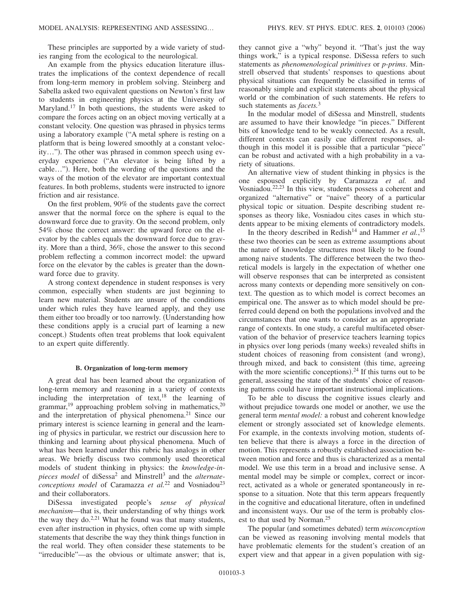These principles are supported by a wide variety of studies ranging from the ecological to the neurological.

An example from the physics education literature illustrates the implications of the context dependence of recall from long-term memory in problem solving. Steinberg and Sabella asked two equivalent questions on Newton's first law to students in engineering physics at the University of Maryland.17 In both questions, the students were asked to compare the forces acting on an object moving vertically at a constant velocity. One question was phrased in physics terms using a laboratory example ("A metal sphere is resting on a platform that is being lowered smoothly at a constant velocity..."). The other was phrased in common speech using everyday experience ("An elevator is being lifted by a cable..."). Here, both the wording of the questions and the ways of the motion of the elevator are important contextual features. In both problems, students were instructed to ignore friction and air resistance.

On the first problem, 90% of the students gave the correct answer that the normal force on the sphere is equal to the downward force due to gravity. On the second problem, only 54% chose the correct answer: the upward force on the elevator by the cables equals the downward force due to gravity. More than a third, 36%, chose the answer to this second problem reflecting a common incorrect model: the upward force on the elevator by the cables is greater than the downward force due to gravity.

A strong context dependence in student responses is very common, especially when students are just beginning to learn new material. Students are unsure of the conditions under which rules they have learned apply, and they use them either too broadly or too narrowly. Understanding how these conditions apply is a crucial part of learning a new concept.) Students often treat problems that look equivalent to an expert quite differently.

#### **B. Organization of long-term memory**

A great deal has been learned about the organization of long-term memory and reasoning in a variety of contexts including the interpretation of text, $18$  the learning of grammar, <sup>19</sup> approaching problem solving in mathematics,  $20$ and the interpretation of physical phenomena.<sup>21</sup> Since our primary interest is science learning in general and the learning of physics in particular, we restrict our discussion here to thinking and learning about physical phenomena. Much of what has been learned under this rubric has analogs in other areas. We briefly discuss two commonly used theoretical models of student thinking in physics: the *knowledge-in*pieces model of diSessa<sup>2</sup> and Minstrell<sup>3</sup> and the *alternateconceptions model* of Caramazza *et al.*<sup>22</sup> and Vosniadou<sup>23</sup> and their collaborators.

DiSessa investigated people's *sense of physical mechanism*—that is, their understanding of why things work the way they do. $^{2,21}$  What he found was that many students, even after instruction in physics, often come up with simple statements that describe the way they think things function in the real world. They often consider these statements to be "irreducible"—as the obvious or ultimate answer; that is, they cannot give a "why" beyond it. "That's just the way things work," is a typical response. DiSessa refers to such statements as *phenomenological primitives* or *p-prims*. Minstrell observed that students' responses to questions about physical situations can frequently be classified in terms of reasonably simple and explicit statements about the physical world or the combination of such statements. He refers to such statements as *facets.*<sup>3</sup>

In the modular model of diSessa and Minstrell, students are assumed to have their knowledge "in pieces." Different bits of knowledge tend to be weakly connected. As a result, different contexts can easily cue different responses, although in this model it is possible that a particular "piece" can be robust and activated with a high probability in a variety of situations.

An alternative view of student thinking in physics is the one espoused explicitly by Caramazza *et al.* and Vosniadou.22,23 In this view, students possess a coherent and organized "alternative" or "naive" theory of a particular physical topic or situation. Despite describing student responses as theory like, Vosniadou cites cases in which students appear to be mixing elements of contradictory models.

In the theory described in Redish<sup>14</sup> and Hammer *et al.*,<sup>15</sup> these two theories can be seen as extreme assumptions about the nature of knowledge structures most likely to be found among naive students. The difference between the two theoretical models is largely in the expectation of whether one will observe responses that can be interpreted as consistent across many contexts or depending more sensitively on context. The question as to which model is correct becomes an empirical one. The answer as to which model should be preferred could depend on both the populations involved and the circumstances that one wants to consider as an appropriate range of contexts. In one study, a careful multifaceted observation of the behavior of preservice teachers learning topics in physics over long periods (many weeks) revealed shifts in student choices of reasoning from consistent (and wrong), through mixed, and back to consistent (this time, agreeing with the more scientific conceptions). $24$  If this turns out to be general, assessing the state of the students' choice of reasoning patterns could have important instructional implications.

To be able to discuss the cognitive issues clearly and without prejudice towards one model or another, we use the general term *mental model:* a robust and coherent knowledge element or strongly associated set of knowledge elements. For example, in the contexts involving motion, students often believe that there is always a force in the direction of motion. This represents a robustly established association between motion and force and thus is characterized as a mental model. We use this term in a broad and inclusive sense. A mental model may be simple or complex, correct or incorrect, activated as a whole or generated spontaneously in response to a situation. Note that this term appears frequently in the cognitive and educational literature, often in undefined and inconsistent ways. Our use of the term is probably closest to that used by Norman.<sup>25</sup>

The popular (and sometimes debated) term *misconception* can be viewed as reasoning involving mental models that have problematic elements for the student's creation of an expert view and that appear in a given population with sig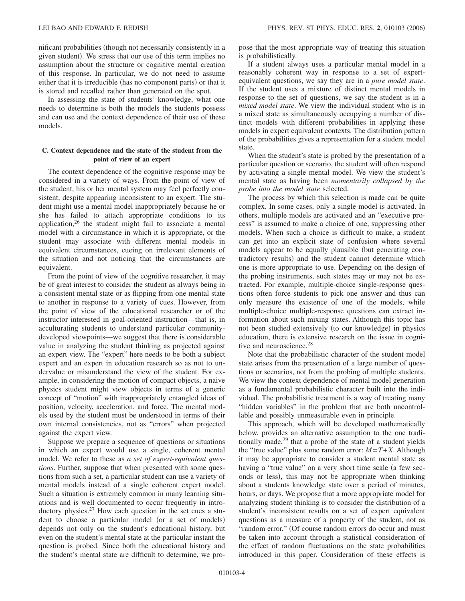nificant probabilities (though not necessarily consistently in a given student). We stress that our use of this term implies no assumption about the structure or cognitive mental creation of this response. In particular, we do not need to assume either that it is irreducible (has no component parts) or that it is stored and recalled rather than generated on the spot.

In assessing the state of students' knowledge, what one needs to determine is both the models the students possess and can use and the context dependence of their use of these models.

## **C. Context dependence and the state of the student from the point of view of an expert**

The context dependence of the cognitive response may be considered in a variety of ways. From the point of view of the student, his or her mental system may feel perfectly consistent, despite appearing inconsistent to an expert. The student might use a mental model inappropriately because he or she has failed to attach appropriate conditions to its application, $26$  the student might fail to associate a mental model with a circumstance in which it is appropriate, or the student may associate with different mental models in equivalent circumstances, cueing on irrelevant elements of the situation and not noticing that the circumstances are equivalent.

From the point of view of the cognitive researcher, it may be of great interest to consider the student as always being in a consistent mental state or as flipping from one mental state to another in response to a variety of cues. However, from the point of view of the educational researcher or of the instructor interested in goal-oriented instruction—that is, in acculturating students to understand particular communitydeveloped viewpoints—we suggest that there is considerable value in analyzing the student thinking as projected against an expert view. The "expert" here needs to be both a subject expert and an expert in education research so as not to undervalue or misunderstand the view of the student. For example, in considering the motion of compact objects, a naive physics student might view objects in terms of a generic concept of "motion" with inappropriately entangled ideas of position, velocity, acceleration, and force. The mental models used by the student must be understood in terms of their own internal consistencies, not as "errors" when projected against the expert view.

Suppose we prepare a sequence of questions or situations in which an expert would use a single, coherent mental model. We refer to these as *a set of expert-equivalent questions*. Further, suppose that when presented with some questions from such a set, a particular student can use a variety of mental models instead of a single coherent expert model. Such a situation is extremely common in many learning situations and is well documented to occur frequently in introductory physics.<sup>27</sup> How each question in the set cues a student to choose a particular model (or a set of models) depends not only on the student's educational history, but even on the student's mental state at the particular instant the question is probed. Since both the educational history and the student's mental state are difficult to determine, we propose that the most appropriate way of treating this situation is probabilistically.

If a student always uses a particular mental model in a reasonably coherent way in response to a set of expertequivalent questions, we say they are in a *pure model state*. If the student uses a mixture of distinct mental models in response to the set of questions, we say the student is in a *mixed model state*. We view the individual student who is in a mixed state as simultaneously occupying a number of distinct models with different probabilities in applying these models in expert equivalent contexts. The distribution pattern of the probabilities gives a representation for a student model state.

When the student's state is probed by the presentation of a particular question or scenario, the student will often respond by activating a single mental model. We view the student's mental state as having been *momentarily collapsed by the probe into the model state* selected.

The process by which this selection is made can be quite complex. In some cases, only a single model is activated. In others, multiple models are activated and an "executive process" is assumed to make a choice of one, suppressing other models. When such a choice is difficult to make, a student can get into an explicit state of confusion where several models appear to be equally plausible (but generating contradictory results) and the student cannot determine which one is more appropriate to use. Depending on the design of the probing instruments, such states may or may not be extracted. For example, multiple-choice single-response questions often force students to pick one answer and thus can only measure the existence of one of the models, while multiple-choice multiple-response questions can extract information about such mixing states. Although this topic has not been studied extensively (to our knowledge) in physics education, there is extensive research on the issue in cognitive and neuroscience.<sup>28</sup>

Note that the probabilistic character of the student model state arises from the presentation of a large number of questions or scenarios, not from the probing of multiple students. We view the context dependence of mental model generation as a fundamental probabilistic character built into the individual. The probabilistic treatment is a way of treating many "hidden variables" in the problem that are both uncontrollable and possibly unmeasurable even in principle.

This approach, which will be developed mathematically below, provides an alternative assumption to the one traditionally made, $29$  that a probe of the state of a student yields the "true value" plus some random error:  $M = T + X$ . Although it may be appropriate to consider a student mental state as having a "true value" on a very short time scale (a few seconds or less), this may not be appropriate when thinking about a students knowledge state over a period of minutes, hours, or days. We propose that a more appropriate model for analyzing student thinking is to consider the distribution of a student's inconsistent results on a set of expert equivalent questions as a measure of a property of the student, not as "random error." Of course random errors do occur and must be taken into account through a statistical consideration of the effect of random fluctuations on the state probabilities introduced in this paper. Consideration of these effects is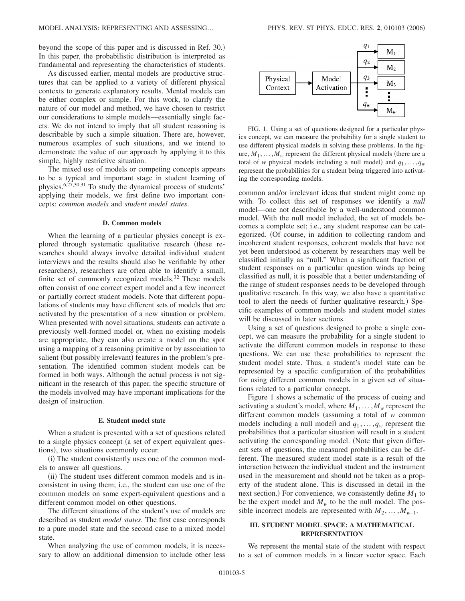beyond the scope of this paper and is discussed in Ref. 30.) In this paper, the probabilistic distribution is interpreted as fundamental and representing the characteristics of students.

As discussed earlier, mental models are productive structures that can be applied to a variety of different physical contexts to generate explanatory results. Mental models can be either complex or simple. For this work, to clarify the nature of our model and method, we have chosen to restrict our considerations to simple models—essentially single facets. We do not intend to imply that all student reasoning is describable by such a simple situation. There are, however, numerous examples of such situations, and we intend to demonstrate the value of our approach by applying it to this simple, highly restrictive situation.

The mixed use of models or competing concepts appears to be a typical and important stage in student learning of physics.6,27,30,31 To study the dynamical process of students' applying their models, we first define two important concepts: *common models* and *student model states*.

#### **D. Common models**

When the learning of a particular physics concept is explored through systematic qualitative research (these researches should always involve detailed individual student interviews and the results should also be verifiable by other researchers), researchers are often able to identify a small, finite set of commonly recognized models.<sup>32</sup> These models often consist of one correct expert model and a few incorrect or partially correct student models. Note that different populations of students may have different sets of models that are activated by the presentation of a new situation or problem. When presented with novel situations, students can activate a previously well-formed model or, when no existing models are appropriate, they can also create a model on the spot using a mapping of a reasoning primitive or by association to salient (but possibly irrelevant) features in the problem's presentation. The identified common student models can be formed in both ways. Although the actual process is not significant in the research of this paper, the specific structure of the models involved may have important implications for the design of instruction.

### **E. Student model state**

When a student is presented with a set of questions related to a single physics concept (a set of expert equivalent questions), two situations commonly occur.

(i) The student consistently uses one of the common models to answer all questions.

(ii) The student uses different common models and is inconsistent in using them; i.e., the student can use one of the common models on some expert-equivalent questions and a different common model on other questions.

The different situations of the student's use of models are described as student *model states*. The first case corresponds to a pure model state and the second case to a mixed model state.

When analyzing the use of common models, it is necessary to allow an additional dimension to include other less



FIG. 1. Using a set of questions designed for a particular physics concept, we can measure the probability for a single student to use different physical models in solving these problems. In the figure,  $M_1, \ldots, M_w$  represent the different physical models (there are a total of *w* physical models including a null model) and  $q_1, \ldots, q_w$ represent the probabilities for a student being triggered into activating the corresponding models.

common and/or irrelevant ideas that student might come up with. To collect this set of responses we identify a *null* model—one not describable by a well-understood common model. With the null model included, the set of models becomes a complete set; i.e., any student response can be categorized. Of course, in addition to collecting random and incoherent student responses, coherent models that have not yet been understood as coherent by researchers may well be classified initially as "null." When a significant fraction of student responses on a particular question winds up being classified as null, it is possible that a better understanding of the range of student responses needs to be developed through qualitative research. In this way, we also have a quantitative tool to alert the needs of further qualitative research.) Specific examples of common models and student model states will be discussed in later sections.

Using a set of questions designed to probe a single concept, we can measure the probability for a single student to activate the different common models in response to these questions. We can use these probabilities to represent the student model state. Thus, a student's model state can be represented by a specific configuration of the probabilities for using different common models in a given set of situations related to a particular concept.

Figure 1 shows a schematic of the process of cueing and activating a student's model, where  $M_1, \ldots, M_w$  represent the different common models (assuming a total of *w* common models including a null model) and  $q_1, \ldots, q_w$  represent the probabilities that a particular situation will result in a student activating the corresponding model. Note that given different sets of questions, the measured probabilities can be different. The measured student model state is a result of the interaction between the individual student and the instrument used in the measurement and should not be taken as a property of the student alone. This is discussed in detail in the next section.) For convenience, we consistently define  $M_1$  to be the expert model and  $M_w$  to be the null model. The possible incorrect models are represented with  $M_2, \ldots, M_{w-1}$ .

## **III. STUDENT MODEL SPACE: A MATHEMATICAL REPRESENTATION**

We represent the mental state of the student with respect to a set of common models in a linear vector space. Each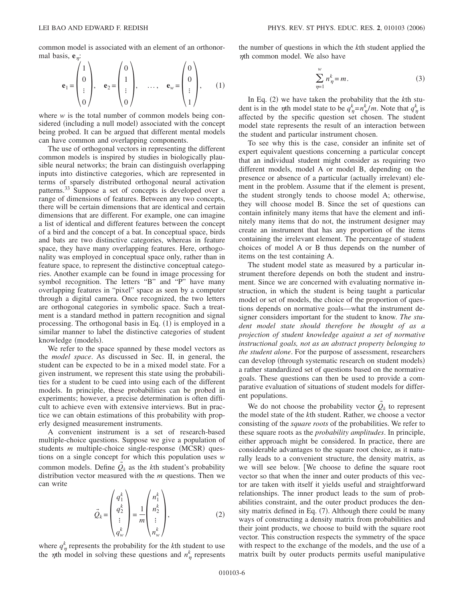common model is associated with an element of an orthonormal basis, **e**.

$$
\mathbf{e}_1 = \begin{pmatrix} 1 \\ 0 \\ \vdots \\ 0 \end{pmatrix}, \quad \mathbf{e}_2 = \begin{pmatrix} 0 \\ 1 \\ \vdots \\ 0 \end{pmatrix}, \quad \dots, \quad \mathbf{e}_w = \begin{pmatrix} 0 \\ 0 \\ \vdots \\ 1 \end{pmatrix}, \qquad (1)
$$

where *w* is the total number of common models being considered (including a null model) associated with the concept being probed. It can be argued that different mental models can have common and overlapping components.

The use of orthogonal vectors in representing the different common models is inspired by studies in biologically plausible neural networks; the brain can distinguish overlapping inputs into distinctive categories, which are represented in terms of sparsely distributed orthogonal neural activation patterns.<sup>33</sup> Suppose a set of concepts is developed over a range of dimensions of features. Between any two concepts, there will be certain dimensions that are identical and certain dimensions that are different. For example, one can imagine a list of identical and different features between the concept of a bird and the concept of a bat. In conceptual space, birds and bats are two distinctive categories, whereas in feature space, they have many overlapping features. Here, orthogonality was employed in conceptual space only, rather than in feature space, to represent the distinctive conceptual categories. Another example can be found in image processing for symbol recognition. The letters "B" and "P" have many overlapping features in "pixel" space as seen by a computer through a digital camera. Once recognized, the two letters are orthogonal categories in symbolic space. Such a treatment is a standard method in pattern recognition and signal processing. The orthogonal basis in Eq.  $(1)$  is employed in a similar manner to label the distinctive categories of student knowledge (models).

We refer to the space spanned by these model vectors as the *model space*. As discussed in Sec. II, in general, the student can be expected to be in a mixed model state. For a given instrument, we represent this state using the probabilities for a student to be cued into using each of the different models. In principle, these probabilities can be probed in experiments; however, a precise determination is often difficult to achieve even with extensive interviews. But in practice we can obtain estimations of this probability with properly designed measurement instruments.

A convenient instrument is a set of research-based multiple-choice questions. Suppose we give a population of students *m* multiple-choice single-response (MCSR) questions on a single concept for which this population uses *w* common models. Define  $Q_k$  as the *k*th student's probability distribution vector measured with the *m* questions. Then we can write

$$
\vec{Q}_k = \begin{pmatrix} q_1^k \\ q_2^k \\ \vdots \\ q_w^k \end{pmatrix} = \frac{1}{m} \begin{pmatrix} n_1^k \\ n_2^k \\ \vdots \\ n_w^k \end{pmatrix},
$$
\n(2)

where  $q_{\eta}^{k}$  represents the probability for the *k*th student to use the *n*<sup>th</sup> model in solving these questions and  $n_{\eta}^{k}$  represents the number of questions in which the *k*th student applied the *th common model. We also have* 

$$
\sum_{\eta=1}^{w} n_{\eta}^{k} = m.
$$
 (3)

In Eq. (2) we have taken the probability that the *k*th student is in the *n*<sup>th</sup> model state to be  $q^k = n^k / m$ . Note that  $q^k = n^k$  is affected by the specific question set chosen. The student model state represents the result of an interaction between the student and particular instrument chosen.

To see why this is the case, consider an infinite set of expert equivalent questions concerning a particular concept that an individual student might consider as requiring two different models, model A or model B, depending on the presence or absence of a particular (actually irrelevant) element in the problem. Assume that if the element is present, the student strongly tends to choose model A; otherwise, they will choose model B. Since the set of questions can contain infinitely many items that have the element and infinitely many items that do not, the instrument designer may create an instrument that has any proportion of the items containing the irrelevant element. The percentage of student choices of model A or B thus depends on the number of items on the test containing A.

The student model state as measured by a particular instrument therefore depends on both the student and instrument. Since we are concerned with evaluating normative instruction, in which the student is being taught a particular model or set of models, the choice of the proportion of questions depends on normative goals—what the instrument designer considers important for the student to know. *The student model state should therefore be thought of as a projection of student knowledge against a set of normative instructional goals, not as an abstract property belonging to the student alone*. For the purpose of assessment, researchers can develop (through systematic research on student models) a rather standardized set of questions based on the normative goals. These questions can then be used to provide a comparative evaluation of situations of student models for different populations.

We do not choose the probability vector  $Q_k$  to represent the model state of the *k*th student. Rather, we choose a vector consisting of the *square roots* of the probabilities. We refer to these square roots as the *probability amplitudes*. In principle, either approach might be considered. In practice, there are considerable advantages to the square root choice, as it naturally leads to a convenient structure, the density matrix, as we will see below. We choose to define the square root vector so that when the inner and outer products of this vector are taken with itself it yields useful and straightforward relationships. The inner product leads to the sum of probabilities constraint, and the outer product produces the density matrix defined in Eq. (7). Although there could be many ways of constructing a density matrix from probabilities and their joint products, we choose to build with the square root vector. This construction respects the symmetry of the space with respect to the exchange of the models, and the use of a matrix built by outer products permits useful manipulative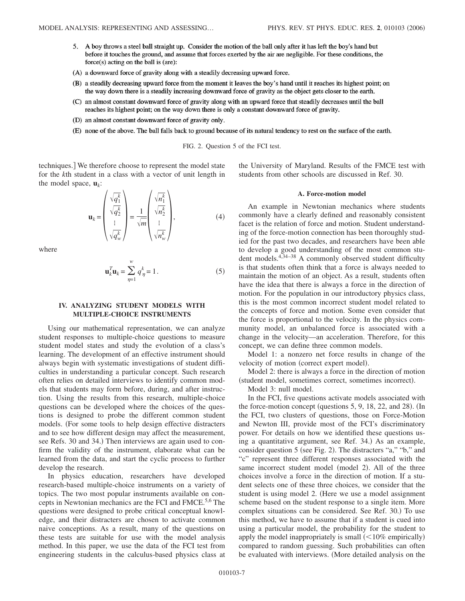- 5. A boy throws a steel ball straight up. Consider the motion of the ball only after it has left the boy's hand but before it touches the ground, and assume that forces exerted by the air are negligible. For these conditions, the  $force(s)$  acting on the ball is (are):
- (A) a downward force of gravity along with a steadily decreasing upward force.
- (B) a steadily decreasing upward force from the moment it leaves the boy's hand until it reaches its highest point; on the way down there is a steadily increasing downward force of gravity as the object gets closer to the earth.
- (C) an almost constant downward force of gravity along with an upward force that steadily decreases until the ball reaches its highest point; on the way down there is only a constant downward force of gravity.
- (D) an almost constant downward force of gravity only.
- (E) none of the above. The ball falls back to ground because of its natural tendency to rest on the surface of the earth.

## FIG. 2. Question 5 of the FCI test.

techniques. We therefore choose to represent the model state for the *k*th student in a class with a vector of unit length in the model space,  $\mathbf{u}_k$ :

$$
\mathbf{u}_{k} = \begin{pmatrix} \sqrt{q_{1}^{k}} \\ \sqrt{q_{2}^{k}} \\ \vdots \\ \sqrt{q_{w}^{k}} \end{pmatrix} = \frac{1}{\sqrt{m}} \begin{pmatrix} \sqrt{n_{1}^{k}} \\ \sqrt{n_{2}^{k}} \\ \vdots \\ \sqrt{n_{w}^{k}} \end{pmatrix}, \tag{4}
$$

where

$$
\mathbf{u}_k^T \mathbf{u}_k = \sum_{\eta=1}^w q_\eta^k = 1.
$$
 (5)

# **IV. ANALYZING STUDENT MODELS WITH MULTIPLE-CHOICE INSTRUMENTS**

Using our mathematical representation, we can analyze student responses to multiple-choice questions to measure student model states and study the evolution of a class's learning. The development of an effective instrument should always begin with systematic investigations of student difficulties in understanding a particular concept. Such research often relies on detailed interviews to identify common models that students may form before, during, and after instruction. Using the results from this research, multiple-choice questions can be developed where the choices of the questions is designed to probe the different common student models. For some tools to help design effective distracters and to see how different design may affect the measurement, see Refs. 30 and 34.) Then interviews are again used to confirm the validity of the instrument, elaborate what can be learned from the data, and start the cyclic process to further develop the research.

In physics education, researchers have developed research-based multiple-choice instruments on a variety of topics. The two most popular instruments available on concepts in Newtonian mechanics are the FCI and FMCE.5,6 The questions were designed to probe critical conceptual knowledge, and their distracters are chosen to activate common naive conceptions. As a result, many of the questions on these tests are suitable for use with the model analysis method. In this paper, we use the data of the FCI test from engineering students in the calculus-based physics class at the University of Maryland. Results of the FMCE test with students from other schools are discussed in Ref. 30.

### **A. Force-motion model**

An example in Newtonian mechanics where students commonly have a clearly defined and reasonably consistent facet is the relation of force and motion. Student understanding of the force-motion connection has been thoroughly studied for the past two decades, and researchers have been able to develop a good understanding of the most common student models.4,34–38 A commonly observed student difficulty is that students often think that a force is always needed to maintain the motion of an object. As a result, students often have the idea that there is always a force in the direction of motion. For the population in our introductory physics class, this is the most common incorrect student model related to the concepts of force and motion. Some even consider that the force is proportional to the velocity. In the physics community model, an unbalanced force is associated with a change in the velocity—an acceleration. Therefore, for this concept, we can define three common models.

Model 1: a nonzero net force results in change of the velocity of motion (correct expert model).

Model 2: there is always a force in the direction of motion (student model, sometimes correct, sometimes incorrect).

Model 3: null model.

In the FCI, five questions activate models associated with the force-motion concept (questions  $5, 9, 18, 22,$  and  $28$ ). (In the FCI, two clusters of questions, those on Force-Motion and Newton III, provide most of the FCI's discriminatory power. For details on how we identified these questions using a quantitative argument, see Ref. 34.) As an example, consider question 5 (see Fig. 2). The distracters "a," "b," and "c" represent three different responses associated with the same incorrect student model (model 2). All of the three choices involve a force in the direction of motion. If a student selects one of these three choices, we consider that the student is using model 2. (Here we use a model assignment scheme based on the student response to a single item. More complex situations can be considered. See Ref. 30.) To use this method, we have to assume that if a student is cued into using a particular model, the probability for the student to apply the model inappropriately is small  $\left( \langle 10\% \text{ empirically} \rangle \right)$ compared to random guessing. Such probabilities can often be evaluated with interviews. More detailed analysis on the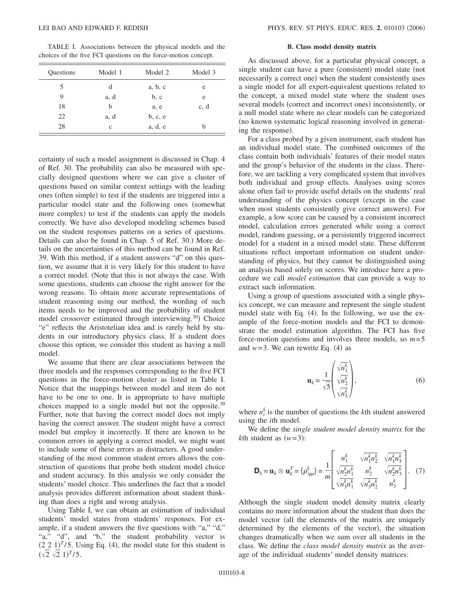TABLE I. Associations between the physical models and the choices of the five FCI questions on the force-motion concept.

| Questions | Model 1     | Model 2 | Model 3 |
|-----------|-------------|---------|---------|
| 5         | d           | a, b, c | e       |
| 9         | a, d        | b, c    | e       |
| 18        | b           | a, e    | c, d    |
| 22        | a, d        | b, c, e |         |
| 28        | $\mathbf c$ | a, d, e | h       |

certainty of such a model assignment is discussed in Chap. 4 of Ref. 30. The probability can also be measured with specially designed questions where we can give a cluster of questions based on similar context settings with the leading ones (often simple) to test if the students are triggered into a particular model state and the following ones (somewhat more complex) to test if the students can apply the models correctly. We have also developed modeling schemes based on the student responses patterns on a series of questions. Details can also be found in Chap. 5 of Ref. 30.) More details on the uncertainties of this method can be found in Ref. 39. With this method, if a student answers "d" on this question, we assume that it is very likely for this student to have a correct model. Note that this is not always the case. With some questions, students can choose the right answer for the wrong reasons. To obtain more accurate representations of student reasoning using our method, the wording of such items needs to be improved and the probability of student model crossover estimated through interviewing.<sup>30</sup>) Choice "e" reflects the Aristotelian idea and is rarely held by students in our introductory physics class. If a student does choose this option, we consider this student as having a null model.

We assume that there are clear associations between the three models and the responses corresponding to the five FCI questions in the force-motion cluster as listed in Table I. Notice that the mappings between model and item do not have to be one to one. It is appropriate to have multiple choices mapped to a single model but not the opposite.<sup>39</sup> Further, note that having the correct model does not imply having the correct answer. The student might have a correct model but employ it incorrectly. If there are known to be common errors in applying a correct model, we might want to include some of these errors as distracters. A good understanding of the most common student errors allows the construction of questions that probe both student model choice and student accuracy. In this analysis we only consider the students' model choice. This underlines the fact that a model analysis provides different information about student thinking than does a right and wrong analysis.

Using Table I, we can obtain an estimation of individual students' model states from students' responses. For example, if a student answers the five questions with "a," "d," "a," "d", and "b," the student probability vector is  $(2\ 2\ 1)^{T}/5$ . Using Eq. (4), the model state for this student is  $(\sqrt{2}, \sqrt{2}, 1)^{T}/5.$ 

## **B. Class model density matrix**

As discussed above, for a particular physical concept, a single student can have a pure (consistent) model state (not necessarily a correct one) when the student consistently uses a single model for all expert-equivalent questions related to the concept, a mixed model state where the student uses several models (correct and incorrect ones) inconsistently, or a null model state where no clear models can be categorized no known systematic logical reasoning involved in generating the response).

For a class probed by a given instrument, each student has an individual model state. The combined outcomes of the class contain both individuals' features of their model states and the group's behavior of the students in the class. Therefore, we are tackling a very complicated system that involves both individual and group effects. Analyses using scores alone often fail to provide useful details on the students' real understanding of the physics concept (except in the case when most students consistently give correct answers). For example, a low score can be caused by a consistent incorrect model, calculation errors generated while using a correct model, random guessing, or a persistently triggered incorrect model for a student in a mixed model state. These different situations reflect important information on student understanding of physics, but they cannot be distinguished using an analysis based solely on scores. We introduce here a procedure we call *model estimation* that can provide a way to extract such information.

Using a group of questions associated with a single physics concept, we can measure and represent the single student model state with Eq. (4). In the following, we use the example of the force-motion models and the FCI to demonstrate the model estimation algorithm. The FCI has five force-motion questions and involves three models, so  $m=5$ and  $w=3$ . We can rewrite Eq. (4) as

$$
\mathbf{u}_{k} = \frac{1}{\sqrt{5}} \begin{pmatrix} \sqrt{n_{1}^{k}} \\ \sqrt{n_{2}^{k}} \\ \sqrt{n_{3}^{k}} \end{pmatrix},
$$
 (6)

where  $n_i^k$  is the number of questions the  $k$ th student answered using the *i*th model.

We define the *single student model density matrix* for the *k*th student as  $(w=3)$ :

$$
\mathbf{D}_{k} = \mathbf{u}_{k} \otimes \mathbf{u}_{k}^{T} = \{p_{\eta\mu}^{k}\} = \frac{1}{m} \begin{bmatrix} n_{1}^{k} & \sqrt{n_{1}^{k}n_{2}^{k}} & \sqrt{n_{1}^{k}n_{3}^{k}} \\ \sqrt{n_{2}^{k}n_{1}^{k}} & n_{2}^{k} & \sqrt{n_{2}^{k}n_{3}^{k}} \\ \sqrt{n_{3}^{k}n_{1}^{k}} & \sqrt{n_{3}^{k}n_{2}^{k}} & n_{3}^{k} \end{bmatrix} .
$$
 (7)

Although the single student model density matrix clearly contains no more information about the student than does the model vector (all the elements of the matrix are uniquely determined by the elements of the vector), the situation changes dramatically when we sum over all students in the class. We define the *class model density matrix* as the average of the individual students' model density matrices: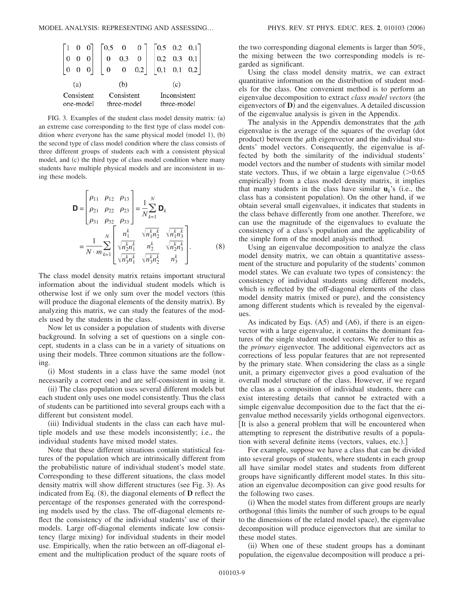|                         | $\lceil 0.5 \rceil$                         |     | $\begin{array}{c} 0 \end{array}$ |  | $\begin{bmatrix} 0.5 & 0.2 & 0.1 \end{bmatrix}$ |                                                 |
|-------------------------|---------------------------------------------|-----|----------------------------------|--|-------------------------------------------------|-------------------------------------------------|
|                         |                                             |     |                                  |  | 0.3                                             | 0.1                                             |
|                         | $\begin{vmatrix} 0 & 0 & 0.2 \end{vmatrix}$ |     |                                  |  |                                                 | $\begin{bmatrix} 0.1 & 0.1 & 0.2 \end{bmatrix}$ |
| (a)                     |                                             | (b) |                                  |  | (c)                                             |                                                 |
| Consistent<br>one-model | Consistent<br>three-model                   |     | Inconsistent<br>three-model      |  |                                                 |                                                 |

FIG. 3. Examples of the student class model density matrix: (a) an extreme case corresponding to the first type of class model condition where everyone has the same physical model (model  $1$ ),  $(b)$ the second type of class model condition where the class consists of three different groups of students each with a consistent physical model, and (c) the third type of class model condition where many students have multiple physical models and are inconsistent in using these models.

$$
\mathbf{D} = \begin{bmatrix} \rho_{11} & \rho_{12} & \rho_{13} \\ \rho_{21} & \rho_{22} & \rho_{23} \\ \rho_{31} & \rho_{32} & \rho_{33} \end{bmatrix} = \frac{1}{N} \sum_{k=1}^{N} \mathbf{D}_{k}
$$

$$
= \frac{1}{N \cdot m} \sum_{k=1}^{N} \begin{bmatrix} n_{1}^{k} & \sqrt{n_{1}^{k}n_{2}^{k}} & \sqrt{n_{1}^{k}n_{3}^{k}} \\ \sqrt{n_{2}^{k}n_{1}^{k}} & n_{2}^{k} & \sqrt{n_{2}^{k}n_{3}^{k}} \\ \sqrt{n_{3}^{k}n_{1}^{k}} & \sqrt{n_{3}^{k}n_{2}^{k}} & n_{3}^{k} \end{bmatrix} . \tag{8}
$$

The class model density matrix retains important structural information about the individual student models which is otherwise lost if we only sum over the model vectors (this will produce the diagonal elements of the density matrix). By analyzing this matrix, we can study the features of the models used by the students in the class.

Now let us consider a population of students with diverse background. In solving a set of questions on a single concept, students in a class can be in a variety of situations on using their models. Three common situations are the following.

(i) Most students in a class have the same model (not necessarily a correct one) and are self-consistent in using it.

(ii) The class population uses several different models but each student only uses one model consistently. Thus the class of students can be partitioned into several groups each with a different but consistent model.

(iii) Individual students in the class can each have multiple models and use these models inconsistently; i.e., the individual students have mixed model states.

Note that these different situations contain statistical features of the population which are intrinsically different from the probabilistic nature of individual student's model state. Corresponding to these different situations, the class model density matrix will show different structures (see Fig. 3). As indicated from Eq. (8), the diagonal elements of **D** reflect the percentage of the responses generated with the corresponding models used by the class. The off-diagonal elements reflect the consistency of the individual students' use of their models. Large off-diagonal elements indicate low consistency (large mixing) for individual students in their model use. Empirically, when the ratio between an off-diagonal element and the multiplication product of the square roots of the two corresponding diagonal elements is larger than 50%, the mixing between the two corresponding models is regarded as significant.

Using the class model density matrix, we can extract quantitative information on the distribution of student models for the class. One convenient method is to perform an eigenvalue decomposition to extract *class model vectors* (the eigenvectors of **D**) and the eigenvalues. A detailed discussion of the eigenvalue analysis is given in the Appendix.

The analysis in the Appendix demonstrates that the  $\mu$ th eigenvalue is the average of the squares of the overlap (dot product) between the  $\mu$ th eigenvector and the individual students' model vectors. Consequently, the eigenvalue is affected by both the similarity of the individual students' model vectors and the number of students with similar model state vectors. Thus, if we obtain a large eigenvalue  $(>0.65$ empirically) from a class model density matrix, it implies that many students in the class have similar  $\mathbf{u}_k$ 's (i.e., the class has a consistent population). On the other hand, if we obtain several small eigenvalues, it indicates that students in the class behave differently from one another. Therefore, we can use the magnitude of the eigenvalues to evaluate the consistency of a class's population and the applicability of the simple form of the model analysis method.

Using an eigenvalue decomposition to analyze the class model density matrix, we can obtain a quantitative assessment of the structure and popularity of the students' common model states. We can evaluate two types of consistency: the consistency of individual students using different models, which is reflected by the off-diagonal elements of the class model density matrix (mixed or pure), and the consistency among different students which is revealed by the eigenvalues.

As indicated by Eqs.  $(A5)$  and  $(A6)$ , if there is an eigenvector with a large eigenvalue, it contains the dominant features of the single student model vectors. We refer to this as the *primary* eigenvector. The additional eigenvectors act as corrections of less popular features that are not represented by the primary state. When considering the class as a single unit, a primary eigenvector gives a good evaluation of the overall model structure of the class. However, if we regard the class as a composition of individual students, there can exist interesting details that cannot be extracted with a simple eigenvalue decomposition due to the fact that the eigenvalue method necessarily yields orthogonal eigenvectors. It is also a general problem that will be encountered when attempting to represent the distributive results of a population with several definite items (vectors, values, etc.).]

For example, suppose we have a class that can be divided into several groups of students, where students in each group all have similar model states and students from different groups have significantly different model states. In this situation an eigenvalue decomposition can give good results for the following two cases.

(i) When the model states from different groups are nearly orthogonal (this limits the number of such groups to be equal to the dimensions of the related model space), the eigenvalue decomposition will produce eigenvectors that are similar to these model states.

(ii) When one of these student groups has a dominant population, the eigenvalue decomposition will produce a pri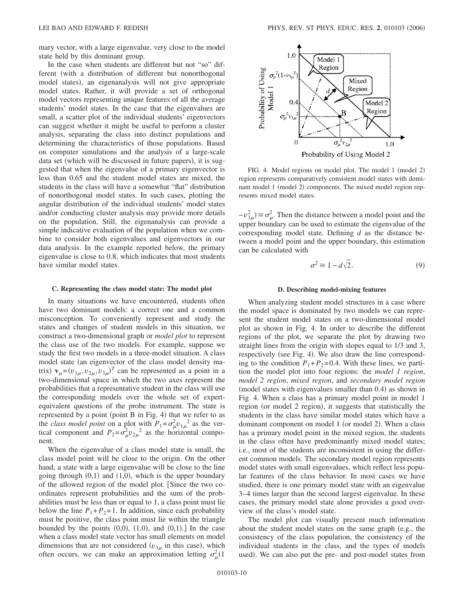mary vector, with a large eigenvalue, very close to the model state held by this dominant group.

In the case when students are different but not "so" different (with a distribution of different but nonorthogonal model states), an eigenanalysis will not give appropriate model states. Rather, it will provide a set of orthogonal model vectors representing unique features of all the average students' model states. In the case that the eigenvalues are small, a scatter plot of the individual students' eigenvectors can suggest whether it might be useful to perform a cluster analysis, separating the class into distinct populations and determining the characteristics of those populations. Based on computer simulations and the analysis of a large-scale data set (which will be discussed in future papers), it is suggested that when the eigenvalue of a primary eigenvector is less than 0.65 and the student model states are mixed, the students in the class will have a somewhat "flat" distribution of nonorthogonal model states. In such cases, plotting the angular distribution of the individual students' model states and/or conducting cluster analysis may provide more details on the population. Still, the eigenanalysis can provide a simple indicative evaluation of the population when we combine to consider both eigenvalues and eigenvectors in our data analysis. In the example reported below, the primary eigenvalue is close to 0.8, which indicates that most students have similar model states.

### **C. Representing the class model state: The model plot**

In many situations we have encountered, students often have two dominant models: a correct one and a common misconception. To conveniently represent and study the states and changes of student models in this situation, we construct a two-dimensional graph or *model plot* to represent the class use of the two models. For example, suppose we study the first two models in a three-model situation. A class model state (an eigenvector of the class model density matrix)  $\mathbf{v}_{\mu} = (v_{1\mu}, v_{2\mu}, v_{3\mu})^T$  can be represented as a point in a two-dimensional space in which the two axes represent the probabilities that a representative student in the class will use the corresponding models over the whole set of expertequivalent questions of the probe instrument. The state is represented by a point (point B in Fig. 4) that we refer to as the *class model point* on a plot with  $P_1 = \sigma_\mu^2 v_{1\mu}^2$  as the vertical component and  $P_2 = \sigma_\mu^2 v_{2\mu}^2$  as the horizontal component.

When the eigenvalue of a class model state is small, the class model point will be close to the origin. On the other hand, a state with a large eigenvalue will be close to the line going through  $(0,1)$  and  $(1,0)$ , which is the upper boundary of the allowed region of the model plot. Since the two coordinates represent probabilities and the sum of the probabilities must be less than or equal to 1, a class point must lie below the line  $P_1+P_2=1$ . In addition, since each probability must be positive, the class point must lie within the triangle bounded by the points  $(0,0)$ ,  $(1,0)$ , and  $(0,1)$ . In the case when a class model state vector has small elements on model dimensions that are not considered  $(v_{3\mu})$  in this case), which often occurs, we can make an approximation letting  $\sigma_{\mu}^2(1)$ 



FIG. 4. Model regions on model plot. The model 1 (model 2) region represents comparatively consistent model states with dominant model 1 (model 2) components. The mixed model region represents mixed model states.

 $-v_{3\mu}^2$ )  $\approx \sigma_{\mu}^2$ . Then the distance between a model point and the upper boundary can be used to estimate the eigenvalue of the corresponding model state. Defining *d* as the distance between a model point and the upper boundary, this estimation can be calculated with

$$
\sigma^2 \cong 1 - d\sqrt{2}.\tag{9}
$$

#### **D. Describing model-mixing features**

When analyzing student model structures in a case where the model space is dominated by two models we can represent the student model states on a two-dimensional model plot as shown in Fig. 4. In order to describe the different regions of the plot, we separate the plot by drawing two straight lines from the origin with slopes equal to 1/3 and 3, respectively (see Fig. 4). We also draw the line corresponding to the condition  $P_1 + P_2 = 0.4$ . With these lines, we partition the model plot into four regions: the *model 1 region*, *model 2 region*, *mixed region*, and *secondary model region* (model states with eigenvalues smaller than  $0.4$ ) as shown in Fig. 4. When a class has a primary model point in model 1 region (or model 2 region), it suggests that statistically the students in the class have similar model states which have a dominant component on model 1 (or model 2). When a class has a primary model point in the mixed region, the students in the class often have predominantly mixed model states; i.e., most of the students are inconsistent in using the different common models. The secondary model region represents model states with small eigenvalues, which reflect less popular features of the class behavior. In most cases we have studied, there is one primary model state with an eigenvalue 3–4 times larger than the second largest eigenvalue. In these cases, the primary model state alone provides a good overview of the class's model state.

The model plot can visually present much information about the student model states on the same graph (e.g., the consistency of the class population, the consistency of the individual students in the class, and the types of models used). We can also put the pre- and post-model states from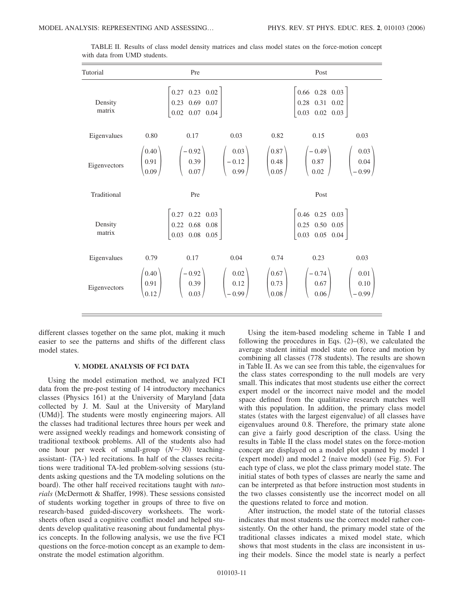| Tutorial          | Pre                                                                                                                                                                                                                                                                                                                              | Post |      |                                                                                                          |      |
|-------------------|----------------------------------------------------------------------------------------------------------------------------------------------------------------------------------------------------------------------------------------------------------------------------------------------------------------------------------|------|------|----------------------------------------------------------------------------------------------------------|------|
| Density<br>matrix | $\begin{bmatrix} 0.27 & 0.23 & 0.02 \\ 0.23 & 0.69 & 0.07 \\ 0.02 & 0.07 & 0.04 \end{bmatrix}$                                                                                                                                                                                                                                   |      |      | $\begin{bmatrix} 0.66 & 0.28 & 0.03 \\ 0.28 & 0.31 & 0.02 \end{bmatrix}$<br>$0.03 \quad 0.02 \quad 0.03$ |      |
| Eigenvalues       | 0.80<br>0.17                                                                                                                                                                                                                                                                                                                     | 0.03 | 0.82 | 0.15                                                                                                     | 0.03 |
| Eigenvectors      | $\begin{pmatrix} 0.40 \\ 0.91 \\ 0.90 \end{pmatrix}$ $\begin{pmatrix} -0.92 \\ 0.39 \\ 0.97 \end{pmatrix}$ $\begin{pmatrix} 0.03 \\ -0.12 \\ 0.99 \end{pmatrix}$ $\begin{pmatrix} 0.87 \\ 0.48 \\ 0.95 \end{pmatrix}$ $\begin{pmatrix} -0.49 \\ 0.87 \\ 0.92 \end{pmatrix}$ $\begin{pmatrix} 0.03 \\ 0.04 \\ 0.99 \end{pmatrix}$ |      |      |                                                                                                          |      |
| Traditional       | Pre                                                                                                                                                                                                                                                                                                                              |      |      | Post                                                                                                     |      |
| Density<br>matrix | $\begin{bmatrix} 0.27 & 0.22 & 0.03 \\ 0.22 & 0.68 & 0.08 \\ 0.03 & 0.08 & 0.05 \end{bmatrix}$                                                                                                                                                                                                                                   |      |      | $\begin{bmatrix} 0.46 & 0.25 & 0.03 \\ 0.25 & 0.50 & 0.05 \end{bmatrix}$<br>$0.03$ 0.05 0.04             |      |
| Eigenvalues       | 0.79<br>0.17                                                                                                                                                                                                                                                                                                                     | 0.04 | 0.74 | 0.23                                                                                                     | 0.03 |
| Eigenvectors      | $\begin{pmatrix} 0.40 \\ 0.91 \\ 0.12 \end{pmatrix}$ $\begin{pmatrix} -0.92 \\ 0.39 \\ 0.02 \end{pmatrix}$ $\begin{pmatrix} 0.02 \\ 0.12 \\ 0.09 \end{pmatrix}$ $\begin{pmatrix} 0.67 \\ 0.73 \\ 0.08 \end{pmatrix}$ $\begin{pmatrix} -0.74 \\ 0.67 \\ 0.06 \end{pmatrix}$ $\begin{pmatrix} 0.01 \\ 0.10 \\ 0.09 \end{pmatrix}$  |      |      |                                                                                                          |      |

TABLE II. Results of class model density matrices and class model states on the force-motion concept with data from UMD students.

different classes together on the same plot, making it much easier to see the patterns and shifts of the different class model states.

## **V. MODEL ANALYSIS OF FCI DATA**

Using the model estimation method, we analyzed FCI data from the pre-post testing of 14 introductory mechanics classes (Physics 161) at the University of Maryland [data collected by J. M. Saul at the University of Maryland (UMd)]. The students were mostly engineering majors. All the classes had traditional lectures three hours per week and were assigned weekly readings and homework consisting of traditional textbook problems. All of the students also had one hour per week of small-group  $(N \sim 30)$  teachingassistant- (TA-) led recitations. In half of the classes recitations were traditional TA-led problem-solving sessions (students asking questions and the TA modeling solutions on the board). The other half received recitations taught with tutorials (McDermott & Shaffer, 1998). These sessions consisted of students working together in groups of three to five on research-based guided-discovery worksheets. The worksheets often used a cognitive conflict model and helped students develop qualitative reasoning about fundamental physics concepts. In the following analysis, we use the five FCI questions on the force-motion concept as an example to demonstrate the model estimation algorithm.

Using the item-based modeling scheme in Table I and following the procedures in Eqs.  $(2)$ – $(8)$ , we calculated the average student initial model state on force and motion by combining all classes (778 students). The results are shown in Table II. As we can see from this table, the eigenvalues for the class states corresponding to the null models are very small. This indicates that most students use either the correct expert model or the incorrect naive model and the model space defined from the qualitative research matches well with this population. In addition, the primary class model states (states with the largest eigenvalue) of all classes have eigenvalues around 0.8. Therefore, the primary state alone can give a fairly good description of the class. Using the results in Table II the class model states on the force-motion concept are displayed on a model plot spanned by model 1 (expert model) and model 2 (naive model) (see Fig. 5). For each type of class, we plot the class primary model state. The initial states of both types of classes are nearly the same and can be interpreted as that before instruction most students in the two classes consistently use the incorrect model on all the questions related to force and motion.

After instruction, the model state of the tutorial classes indicates that most students use the correct model rather consistently. On the other hand, the primary model state of the traditional classes indicates a mixed model state, which shows that most students in the class are inconsistent in using their models. Since the model state is nearly a perfect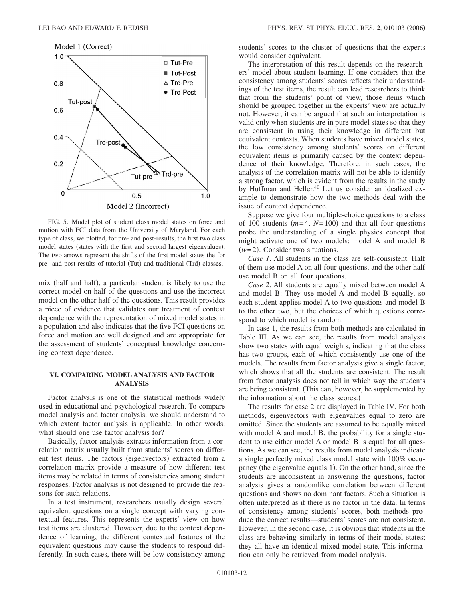

FIG. 5. Model plot of student class model states on force and motion with FCI data from the University of Maryland. For each type of class, we plotted, for pre- and post-results, the first two class model states (states with the first and second largest eigenvalues). The two arrows represent the shifts of the first model states the for pre- and post-results of tutorial (Tut) and traditional (Trd) classes.

mix (half and half), a particular student is likely to use the correct model on half of the questions and use the incorrect model on the other half of the questions. This result provides a piece of evidence that validates our treatment of context dependence with the representation of mixed model states in a population and also indicates that the five FCI questions on force and motion are well designed and are appropriate for the assessment of students' conceptual knowledge concerning context dependence.

# **VI. COMPARING MODEL ANALYSIS AND FACTOR ANALYSIS**

Factor analysis is one of the statistical methods widely used in educational and psychological research. To compare model analysis and factor analysis, we should understand to which extent factor analysis is applicable. In other words, what should one use factor analysis for?

Basically, factor analysis extracts information from a correlation matrix usually built from students' scores on different test items. The factors (eigenvectors) extracted from a correlation matrix provide a measure of how different test items may be related in terms of consistencies among student responses. Factor analysis is not designed to provide the reasons for such relations.

In a test instrument, researchers usually design several equivalent questions on a single concept with varying contextual features. This represents the experts' view on how test items are clustered. However, due to the context dependence of learning, the different contextual features of the equivalent questions may cause the students to respond differently. In such cases, there will be low-consistency among students' scores to the cluster of questions that the experts would consider equivalent.

The interpretation of this result depends on the researchers' model about student learning. If one considers that the consistency among students' scores reflects their understandings of the test items, the result can lead researchers to think that from the students' point of view, those items which should be grouped together in the experts' view are actually not. However, it can be argued that such an interpretation is valid only when students are in pure model states so that they are consistent in using their knowledge in different but equivalent contexts. When students have mixed model states, the low consistency among students' scores on different equivalent items is primarily caused by the context dependence of their knowledge. Therefore, in such cases, the analysis of the correlation matrix will not be able to identify a strong factor, which is evident from the results in the study by Huffman and Heller.<sup>40</sup> Let us consider an idealized example to demonstrate how the two methods deal with the issue of context dependence.

Suppose we give four multiple-choice questions to a class of 100 students  $(m=4, N=100)$  and that all four questions probe the understanding of a single physics concept that might activate one of two models: model A and model B  $(w=2)$ . Consider two situations.

*Case 1*. All students in the class are self-consistent. Half of them use model A on all four questions, and the other half use model B on all four questions.

*Case 2*. All students are equally mixed between model A and model B: They use model A and model B equally, so each student applies model A to two questions and model B to the other two, but the choices of which questions correspond to which model is random.

In case 1, the results from both methods are calculated in Table III. As we can see, the results from model analysis show two states with equal weights, indicating that the class has two groups, each of which consistently use one of the models. The results from factor analysis give a single factor, which shows that all the students are consistent. The result from factor analysis does not tell in which way the students are being consistent. This can, however, be supplemented by the information about the class scores.)

The results for case 2 are displayed in Table IV. For both methods, eigenvectors with eigenvalues equal to zero are omitted. Since the students are assumed to be equally mixed with model A and model B, the probability for a single student to use either model A or model B is equal for all questions. As we can see, the results from model analysis indicate a single perfectly mixed class model state with 100% occupancy (the eigenvalue equals 1). On the other hand, since the students are inconsistent in answering the questions, factor analysis gives a randomlike correlation between different questions and shows no dominant factors. Such a situation is often interpreted as if there is no factor in the data. In terms of consistency among students' scores, both methods produce the correct results—students' scores are not consistent. However, in the second case, it is obvious that students in the class are behaving similarly in terms of their model states; they all have an identical mixed model state. This information can only be retrieved from model analysis.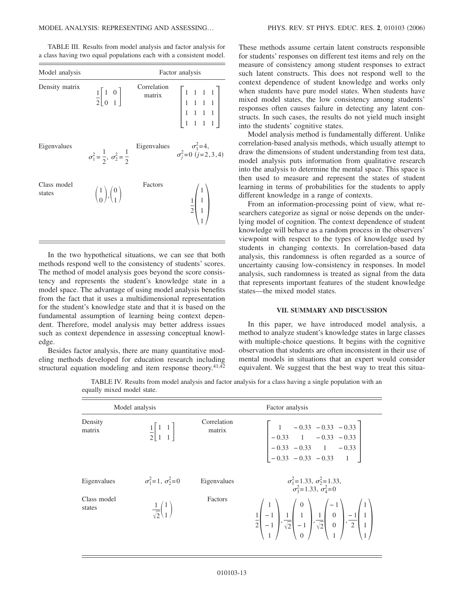TABLE III. Results from model analysis and factor analysis for a class having two equal populations each with a consistent model.

| Model analysis        |                                                      | Factor analysis |                                                                                                                                                                                  |  |  |
|-----------------------|------------------------------------------------------|-----------------|----------------------------------------------------------------------------------------------------------------------------------------------------------------------------------|--|--|
| Density matrix        |                                                      | Correlation     | $\frac{1}{2}\begin{bmatrix} 1 & 0 \\ 0 & 1 \end{bmatrix}$ Correlation<br>matrix $\begin{bmatrix} 1 & 1 & 1 & 1 \\ 1 & 1 & 1 & 1 \\ 1 & 1 & 1 & 1 \\ 1 & 1 & 1 & 1 \end{bmatrix}$ |  |  |
| Eigenvalues           | $\sigma_1^2 = \frac{1}{2}, \sigma_2^2 = \frac{1}{2}$ |                 | Eigenvalues $\sigma_1^2 = 4$ ,<br>$\sigma_j^2 = 0$ ( $j = 2, 3, 4$ )                                                                                                             |  |  |
| Class model<br>states | $\binom{1}{0}, \binom{0}{1}$                         | Factors         | $\frac{1}{2} \begin{pmatrix} 1 \\ 1 \\ 1 \\ 1 \end{pmatrix}$                                                                                                                     |  |  |

In the two hypothetical situations, we can see that both methods respond well to the consistency of students' scores. The method of model analysis goes beyond the score consistency and represents the student's knowledge state in a model space. The advantage of using model analysis benefits from the fact that it uses a multidimensional representation for the student's knowledge state and that it is based on the fundamental assumption of learning being context dependent. Therefore, model analysis may better address issues such as context dependence in assessing conceptual knowledge.

Besides factor analysis, there are many quantitative modeling methods developed for education research including structural equation modeling and item response theory.<sup>41,42</sup> These methods assume certain latent constructs responsible for students' responses on different test items and rely on the measure of consistency among student responses to extract such latent constructs. This does not respond well to the context dependence of student knowledge and works only when students have pure model states. When students have mixed model states, the low consistency among students' responses often causes failure in detecting any latent constructs. In such cases, the results do not yield much insight into the students' cognitive states.

Model analysis method is fundamentally different. Unlike correlation-based analysis methods, which usually attempt to draw the dimensions of student understanding from test data, model analysis puts information from qualitative research into the analysis to determine the mental space. This space is then used to measure and represent the states of student learning in terms of probabilities for the students to apply different knowledge in a range of contexts.

From an information-processing point of view, what researchers categorize as signal or noise depends on the underlying model of cognition. The context dependence of student knowledge will behave as a random process in the observers' viewpoint with respect to the types of knowledge used by students in changing contexts. In correlation-based data analysis, this randomness is often regarded as a source of uncertainty causing low-consistency in responses. In model analysis, such randomness is treated as signal from the data that represents important features of the student knowledge states—the mixed model states.

#### **VII. SUMMARY AND DISCUSSION**

In this paper, we have introduced model analysis, a method to analyze student's knowledge states in large classes with multiple-choice questions. It begins with the cognitive observation that students are often inconsistent in their use of mental models in situations that an expert would consider equivalent. We suggest that the best way to treat this situa-

TABLE IV. Results from model analysis and factor analysis for a class having a single population with an equally mixed model state.

| Model analysis                       |                                                                                             |                        | Factor analysis                                                                                                                                                                                                                                                                                                                                       |  |  |
|--------------------------------------|---------------------------------------------------------------------------------------------|------------------------|-------------------------------------------------------------------------------------------------------------------------------------------------------------------------------------------------------------------------------------------------------------------------------------------------------------------------------------------------------|--|--|
| Density<br>matrix                    | $\frac{1}{2} \begin{bmatrix} 1 & 1 \\ 1 & 1 \end{bmatrix}$                                  | Correlation<br>matrix  | $\begin{bmatrix} 1 & -0.33 & -0.33 & -0.33 \\ -0.33 & 1 & -0.33 & -0.33 \\ -0.33 & -0.33 & 1 & -0.33 \\ -0.33 & -0.33 & -0.33 & 1 \end{bmatrix}$                                                                                                                                                                                                      |  |  |
| Eigenvalues<br>Class model<br>states | $\sigma_1^2 = 1$ , $\sigma_2^2 = 0$<br>$\frac{1}{\sqrt{2}}\begin{pmatrix}1\\1\end{pmatrix}$ | Eigenvalues<br>Factors | $\sigma_1^2$ =1.33, $\sigma_2^2$ =1.33,<br>$\sigma_3^2$ =1.33, $\sigma_4^2$ =0<br>$\frac{1}{2} \begin{pmatrix} 1 \\ -1 \\ -1 \\ 1 \end{pmatrix}, \frac{1}{\sqrt{2}} \begin{pmatrix} 0 \\ 1 \\ -1 \\ 0 \end{pmatrix}, \frac{1}{\sqrt{2}} \begin{pmatrix} -1 \\ 0 \\ 0 \\ 1 \end{pmatrix}, \frac{-1}{2} \begin{pmatrix} 1 \\ 1 \\ 1 \\ 1 \end{pmatrix}$ |  |  |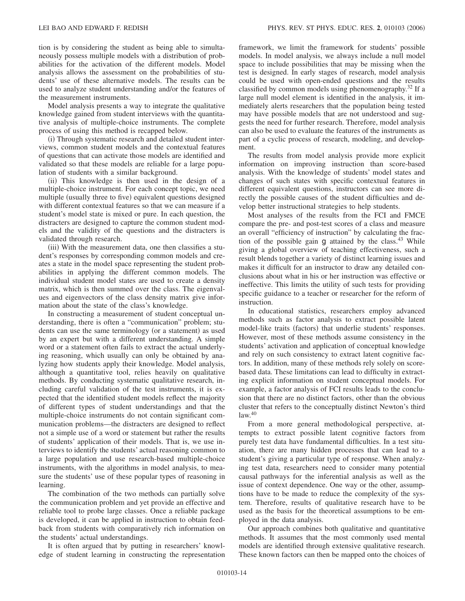tion is by considering the student as being able to simultaneously possess multiple models with a distribution of probabilities for the activation of the different models. Model analysis allows the assessment on the probabilities of students' use of these alternative models. The results can be used to analyze student understanding and/or the features of the measurement instruments.

Model analysis presents a way to integrate the qualitative knowledge gained from student interviews with the quantitative analysis of multiple-choice instruments. The complete process of using this method is recapped below.

(i) Through systematic research and detailed student interviews, common student models and the contextual features of questions that can activate those models are identified and validated so that these models are reliable for a large population of students with a similar background.

(ii) This knowledge is then used in the design of a multiple-choice instrument. For each concept topic, we need multiple (usually three to five) equivalent questions designed with different contextual features so that we can measure if a student's model state is mixed or pure. In each question, the distracters are designed to capture the common student models and the validity of the questions and the distracters is validated through research.

(iii) With the measurement data, one then classifies a student's responses by corresponding common models and creates a state in the model space representing the student probabilities in applying the different common models. The individual student model states are used to create a density matrix, which is then summed over the class. The eigenvalues and eigenvectors of the class density matrix give information about the state of the class's knowledge.

In constructing a measurement of student conceptual understanding, there is often a "communication" problem; students can use the same terminology (or a statement) as used by an expert but with a different understanding. A simple word or a statement often fails to extract the actual underlying reasoning, which usually can only be obtained by analyzing how students apply their knowledge. Model analysis, although a quantitative tool, relies heavily on qualitative methods. By conducting systematic qualitative research, including careful validation of the test instruments, it is expected that the identified student models reflect the majority of different types of student understandings and that the multiple-choice instruments do not contain significant communication problems—the distracters are designed to reflect not a simple use of a word or statement but rather the results of students' application of their models. That is, we use interviews to identify the students' actual reasoning common to a large population and use research-based multiple-choice instruments, with the algorithms in model analysis, to measure the students' use of these popular types of reasoning in learning.

The combination of the two methods can partially solve the communication problem and yet provide an effective and reliable tool to probe large classes. Once a reliable package is developed, it can be applied in instruction to obtain feedback from students with comparatively rich information on the students' actual understandings.

It is often argued that by putting in researchers' knowledge of student learning in constructing the representation framework, we limit the framework for students' possible models. In model analysis, we always include a null model space to include possibilities that may be missing when the test is designed. In early stages of research, model analysis could be used with open-ended questions and the results classified by common models using phenomenography.<sup>32</sup> If a large null model element is identified in the analysis, it immediately alerts researchers that the population being tested may have possible models that are not understood and suggests the need for further research. Therefore, model analysis can also be used to evaluate the features of the instruments as part of a cyclic process of research, modeling, and development.

The results from model analysis provide more explicit information on improving instruction than score-based analysis. With the knowledge of students' model states and changes of such states with specific contextual features in different equivalent questions, instructors can see more directly the possible causes of the student difficulties and develop better instructional strategies to help students.

Most analyses of the results from the FCI and FMCE compare the pre- and post-test scores of a class and measure an overall "efficiency of instruction" by calculating the fraction of the possible gain  $g$  attained by the class.<sup>43</sup> While giving a global overview of teaching effectiveness, such a result blends together a variety of distinct learning issues and makes it difficult for an instructor to draw any detailed conclusions about what in his or her instruction was effective or ineffective. This limits the utility of such tests for providing specific guidance to a teacher or researcher for the reform of instruction.

In educational statistics, researchers employ advanced methods such as factor analysis to extract possible latent model-like traits (factors) that underlie students' responses. However, most of these methods assume consistency in the students' activation and application of conceptual knowledge and rely on such consistency to extract latent cognitive factors. In addition, many of these methods rely solely on scorebased data. These limitations can lead to difficulty in extracting explicit information on student conceptual models. For example, a factor analysis of FCI results leads to the conclusion that there are no distinct factors, other than the obvious cluster that refers to the conceptually distinct Newton's third  $law<sup>40</sup>$ 

From a more general methodological perspective, attempts to extract possible latent cognitive factors from purely test data have fundamental difficulties. In a test situation, there are many hidden processes that can lead to a student's giving a particular type of response. When analyzing test data, researchers need to consider many potential causal pathways for the inferential analysis as well as the issue of context dependence. One way or the other, assumptions have to be made to reduce the complexity of the system. Therefore, results of qualitative research have to be used as the basis for the theoretical assumptions to be employed in the data analysis.

Our approach combines both qualitative and quantitative methods. It assumes that the most commonly used mental models are identified through extensive qualitative research. These known factors can then be mapped onto the choices of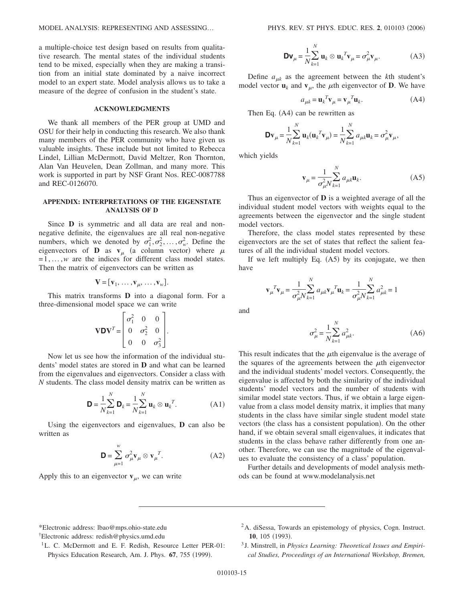a multiple-choice test design based on results from qualitative research. The mental states of the individual students tend to be mixed, especially when they are making a transition from an initial state dominated by a naive incorrect model to an expert state. Model analysis allows us to take a measure of the degree of confusion in the student's state.

## **ACKNOWLEDGMENTS**

We thank all members of the PER group at UMD and OSU for their help in conducting this research. We also thank many members of the PER community who have given us valuable insights. These include but not limited to Rebecca Lindel, Lillian McDermott, David Meltzer, Ron Thornton, Alan Van Heuvelen, Dean Zollman, and many more. This work is supported in part by NSF Grant Nos. REC-0087788 and REC-0126070.

## **APPENDIX: INTERPRETATIONS OF THE EIGENSTATE ANALYSIS OF D**

Since **D** is symmetric and all data are real and nonnegative definite, the eigenvalues are all real non-negative numbers, which we denoted by  $\sigma_1^2, \sigma_2^2, \ldots, \sigma_w^2$ . Define the eigenvectors of **D** as  $v_{\mu}$  (a column vector) where  $\mu$  $=1, \ldots, w$  are the indices for different class model states. Then the matrix of eigenvectors can be written as

$$
\mathbf{V} = [\mathbf{v}_1, \dots, \mathbf{v}_{\mu}, \dots, \mathbf{v}_{w}].
$$

This matrix transforms **D** into a diagonal form. For a three-dimensional model space we can write

$$
\mathbf{V}\mathbf{D}\mathbf{V}^T = \begin{bmatrix} \sigma_1^2 & 0 & 0 \\ 0 & \sigma_2^2 & 0 \\ 0 & 0 & \sigma_3^2 \end{bmatrix}.
$$

Now let us see how the information of the individual students' model states are stored in **D** and what can be learned from the eigenvalues and eigenvectors. Consider a class with *N* students. The class model density matrix can be written as

$$
\mathbf{D} = \frac{1}{N} \sum_{k=1}^{N} \mathbf{D}_k = \frac{1}{N} \sum_{k=1}^{N} \mathbf{u}_k \otimes \mathbf{u}_k^T.
$$
 (A1)

Using the eigenvectors and eigenvalues, **D** can also be written as

$$
\mathbf{D} = \sum_{\mu=1}^{w} \sigma_{\mu}^{2} \mathbf{v}_{\mu} \otimes \mathbf{v}_{\mu}^{T}.
$$
 (A2)

Apply this to an eigenvector  $\mathbf{v}_u$ , we can write

$$
\mathbf{D}\mathbf{v}_{\mu} = \frac{1}{N} \sum_{k=1}^{N} \mathbf{u}_{k} \otimes \mathbf{u}_{k}^{T} \mathbf{v}_{\mu} = \sigma_{\mu}^{2} \mathbf{v}_{\mu}.
$$
 (A3)

Define  $a_{\mu k}$  as the agreement between the *k*th student's model vector  $\mathbf{u}_k$  and  $\mathbf{v}_k$ , the  $\mu$ th eigenvector of **D**. We have

$$
a_{\mu k} = \mathbf{u}_k^T \mathbf{v}_\mu = \mathbf{v}_\mu^T \mathbf{u}_k. \tag{A4}
$$

Then Eq.  $(A4)$  can be rewritten as *N*

$$
\mathbf{D}\mathbf{v}_{\mu} = \frac{1}{N} \sum_{k=1}^{N} \mathbf{u}_{k} (\mathbf{u}_{k}^{T} \mathbf{v}_{\mu}) = \frac{1}{N} \sum_{k=1}^{N} a_{\mu k} \mathbf{u}_{k} = \sigma_{\mu}^{2} \mathbf{v}_{\mu},
$$

which yields

$$
\mathbf{v}_{\mu} = \frac{1}{\sigma_{\mu}^2 N} \sum_{k=1}^{N} a_{\mu k} \mathbf{u}_k.
$$
 (A5)

Thus an eigenvector of **D** is a weighted average of all the individual student model vectors with weights equal to the agreements between the eigenvector and the single student model vectors.

Therefore, the class model states represented by these eigenvectors are the set of states that reflect the salient features of all the individual student model vectors.

If we left multiply Eq.  $(A5)$  by its conjugate, we then have

$$
\mathbf{v}_{\mu}{}^{T}\mathbf{v}_{\mu} = \frac{1}{\sigma_{\mu}^{2}N} \sum_{k=1}^{N} a_{\mu k} \mathbf{v}_{\mu}{}^{T}\mathbf{u}_{k} = \frac{1}{\sigma_{\mu}^{2}N} \sum_{k=1}^{N} a_{\mu k}^{2} = 1
$$

and

$$
\sigma_{\mu}^{2} = \frac{1}{N} \sum_{k=1}^{N} a_{\mu k}^{2}.
$$
 (A6)

This result indicates that the  $\mu$ th eigenvalue is the average of the squares of the agreements between the  $\mu$ th eigenvector and the individual students' model vectors. Consequently, the eigenvalue is affected by both the similarity of the individual students' model vectors and the number of students with similar model state vectors. Thus, if we obtain a large eigenvalue from a class model density matrix, it implies that many students in the class have similar single student model state vectors (the class has a consistent population). On the other hand, if we obtain several small eigenvalues, it indicates that students in the class behave rather differently from one another. Therefore, we can use the magnitude of the eigenvalues to evaluate the consistency of a class' population.

Further details and developments of model analysis methods can be found at www.modelanalysis.net

<sup>\*</sup>Electronic address: lbao@mps.ohio-state.edu

<sup>†</sup>Electronic address: redish@physics.umd.edu

<sup>&</sup>lt;sup>1</sup>L. C. McDermott and E. F. Redish, Resource Letter PER-01: Physics Education Research, Am. J. Phys. 67, 755 (1999).

<sup>2</sup>A. diSessa, Towards an epistemology of physics, Cogn. Instruct. **10**, 105 (1993).

<sup>3</sup> J. Minstrell, in *Physics Learning: Theoretical Issues and Empirical Studies, Proceedings of an International Workshop, Bremen,*